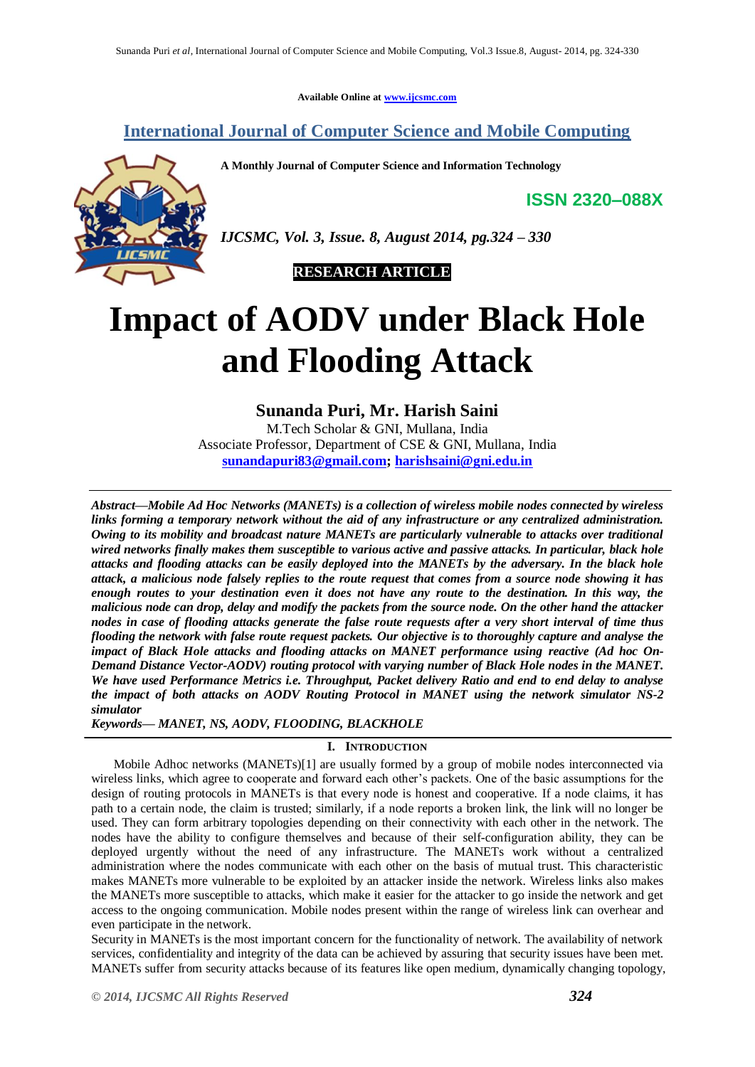**Available Online at [www.ijcsmc.com](http://www.ijcsmc.com/)**

# **International Journal of Computer Science and Mobile Computing**

**A Monthly Journal of Computer Science and Information Technology**

**ISSN 2320–088X**



*IJCSMC, Vol. 3, Issue. 8, August 2014, pg.324 – 330*

 **RESEARCH ARTICLE**

# **Impact of AODV under Black Hole and Flooding Attack**

# **Sunanda Puri, Mr. Harish Saini**

M.Tech Scholar & GNI, Mullana, India Associate Professor, Department of CSE & GNI, Mullana, India **[sunandapuri83@gmail.com;](mailto:sunandapuri83@gmail.com) [harishsaini@gni.edu.in](mailto:harishsaini@gni.edu.in)**

*Abstract—Mobile Ad Hoc Networks (MANETs) is a collection of wireless mobile nodes connected by wireless links forming a temporary network without the aid of any infrastructure or any centralized administration. Owing to its mobility and broadcast nature MANETs are particularly vulnerable to attacks over traditional wired networks finally makes them susceptible to various active and passive attacks. In particular, black hole attacks and flooding attacks can be easily deployed into the MANETs by the adversary. In the black hole attack, a malicious node falsely replies to the route request that comes from a source node showing it has enough routes to your destination even it does not have any route to the destination. In this way, the malicious node can drop, delay and modify the packets from the source node. On the other hand the attacker nodes in case of flooding attacks generate the false route requests after a very short interval of time thus flooding the network with false route request packets. Our objective is to thoroughly capture and analyse the impact of Black Hole attacks and flooding attacks on MANET performance using reactive (Ad hoc On-Demand Distance Vector-AODV) routing protocol with varying number of Black Hole nodes in the MANET. We have used Performance Metrics i.e. Throughput, Packet delivery Ratio and end to end delay to analyse the impact of both attacks on AODV Routing Protocol in MANET using the network simulator NS-2 simulator*

*Keywords— MANET, NS, AODV, FLOODING, BLACKHOLE*

#### **I. INTRODUCTION**

Mobile Adhoc networks (MANETs)[1] are usually formed by a group of mobile nodes interconnected via wireless links, which agree to cooperate and forward each other's packets. One of the basic assumptions for the design of routing protocols in MANETs is that every node is honest and cooperative. If a node claims, it has path to a certain node, the claim is trusted; similarly, if a node reports a broken link, the link will no longer be used. They can form arbitrary topologies depending on their connectivity with each other in the network. The nodes have the ability to configure themselves and because of their self-configuration ability, they can be deployed urgently without the need of any infrastructure. The MANETs work without a centralized administration where the nodes communicate with each other on the basis of mutual trust. This characteristic makes MANETs more vulnerable to be exploited by an attacker inside the network. Wireless links also makes the MANETs more susceptible to attacks, which make it easier for the attacker to go inside the network and get access to the ongoing communication. Mobile nodes present within the range of wireless link can overhear and even participate in the network.

Security in MANETs is the most important concern for the functionality of network. The availability of network services, confidentiality and integrity of the data can be achieved by assuring that security issues have been met. MANETs suffer from security attacks because of its features like open medium, dynamically changing topology,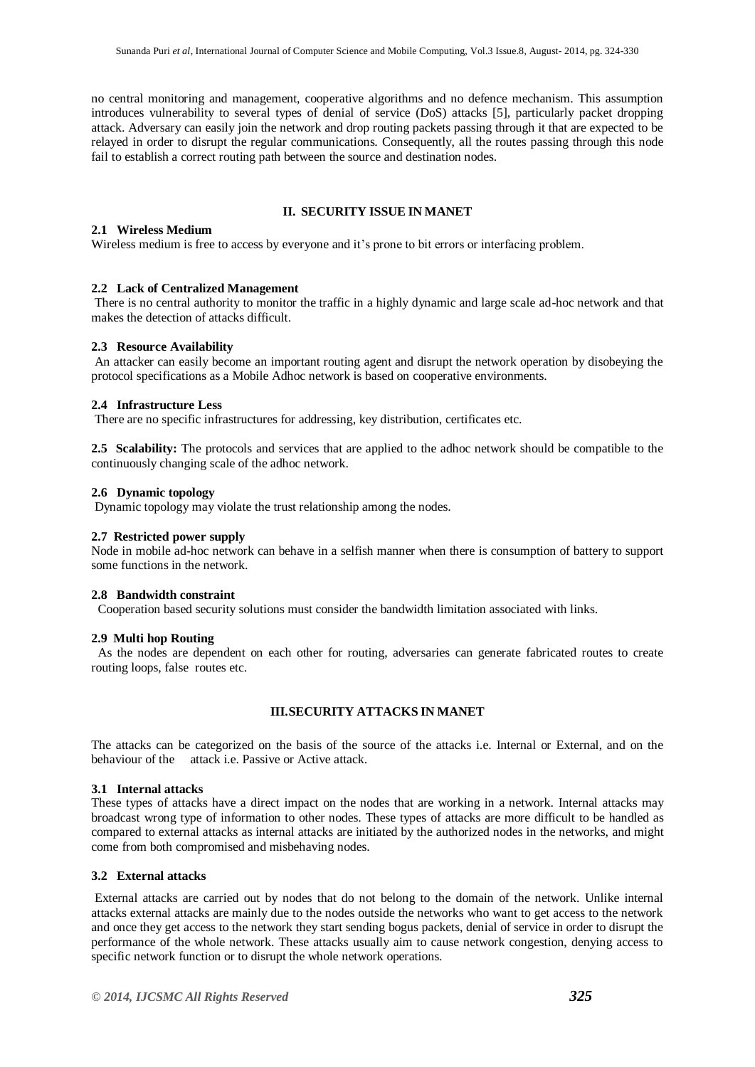no central monitoring and management, cooperative algorithms and no defence mechanism. This assumption introduces vulnerability to several types of denial of service (DoS) attacks [5], particularly packet dropping attack. Adversary can easily join the network and drop routing packets passing through it that are expected to be relayed in order to disrupt the regular communications. Consequently, all the routes passing through this node fail to establish a correct routing path between the source and destination nodes.

# **II. SECURITY ISSUE IN MANET**

# **2.1 Wireless Medium**

Wireless medium is free to access by everyone and it's prone to bit errors or interfacing problem.

# **2.2 Lack of Centralized Management**

There is no central authority to monitor the traffic in a highly dynamic and large scale ad-hoc network and that makes the detection of attacks difficult.

#### **2.3 Resource Availability**

An attacker can easily become an important routing agent and disrupt the network operation by disobeying the protocol specifications as a Mobile Adhoc network is based on cooperative environments.

# **2.4 Infrastructure Less**

There are no specific infrastructures for addressing, key distribution, certificates etc.

**2.5 Scalability:** The protocols and services that are applied to the adhoc network should be compatible to the continuously changing scale of the adhoc network.

# **2.6 Dynamic topology**

Dynamic topology may violate the trust relationship among the nodes.

#### **2.7 Restricted power supply**

Node in mobile ad-hoc network can behave in a selfish manner when there is consumption of battery to support some functions in the network.

# **2.8 Bandwidth constraint**

Cooperation based security solutions must consider the bandwidth limitation associated with links.

#### **2.9 Multi hop Routing**

As the nodes are dependent on each other for routing, adversaries can generate fabricated routes to create routing loops, false routes etc.

# **III.SECURITY ATTACKS IN MANET**

The attacks can be categorized on the basis of the source of the attacks i.e. Internal or External, and on the behaviour of the attack i.e. Passive or Active attack.

#### **3.1 Internal attacks**

These types of attacks have a direct impact on the nodes that are working in a network. Internal attacks may broadcast wrong type of information to other nodes. These types of attacks are more difficult to be handled as compared to external attacks as internal attacks are initiated by the authorized nodes in the networks, and might come from both compromised and misbehaving nodes.

# **3.2 External attacks**

External attacks are carried out by nodes that do not belong to the domain of the network. Unlike internal attacks external attacks are mainly due to the nodes outside the networks who want to get access to the network and once they get access to the network they start sending bogus packets, denial of service in order to disrupt the performance of the whole network. These attacks usually aim to cause network congestion, denying access to specific network function or to disrupt the whole network operations.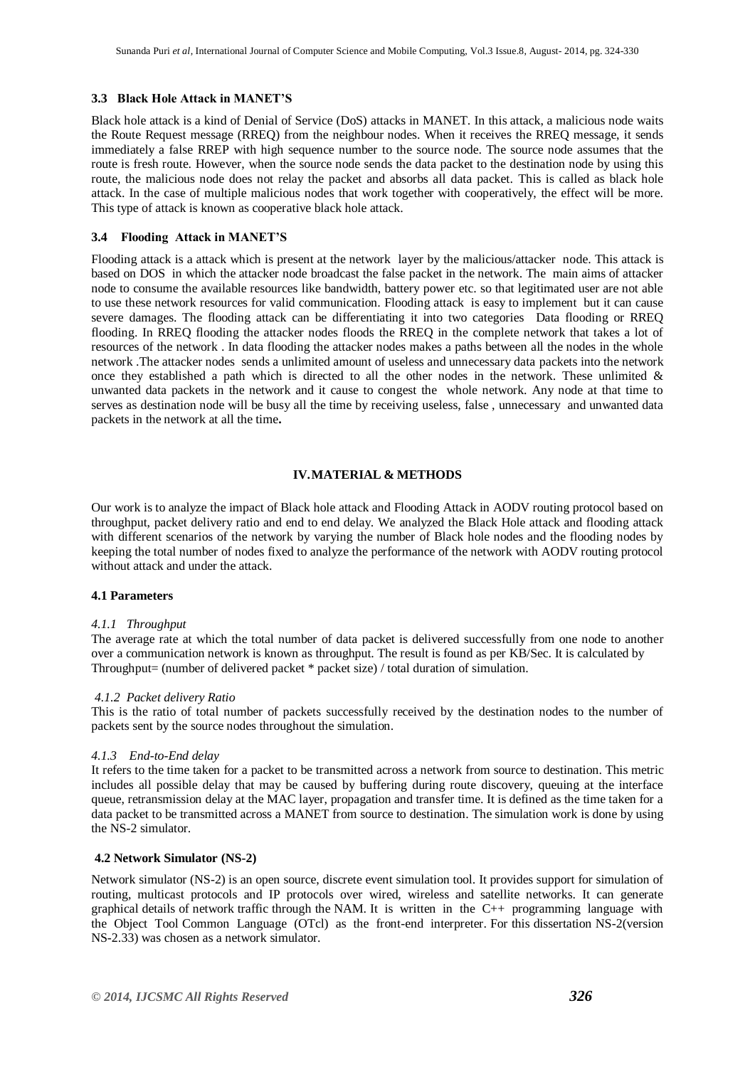# **3.3 Black Hole Attack in MANET'S**

Black hole attack is a kind of Denial of Service (DoS) attacks in MANET. In this attack, a malicious node waits the Route Request message (RREQ) from the neighbour nodes. When it receives the RREQ message, it sends immediately a false RREP with high sequence number to the source node. The source node assumes that the route is fresh route. However, when the source node sends the data packet to the destination node by using this route, the malicious node does not relay the packet and absorbs all data packet. This is called as black hole attack. In the case of multiple malicious nodes that work together with cooperatively, the effect will be more. This type of attack is known as cooperative black hole attack.

#### **3.4 Flooding Attack in MANET'S**

Flooding attack is a attack which is present at the network layer by the malicious/attacker node. This attack is based on DOS in which the attacker node broadcast the false packet in the network. The main aims of attacker node to consume the available resources like bandwidth, battery power etc. so that legitimated user are not able to use these network resources for valid communication. Flooding attack is easy to implement but it can cause severe damages. The flooding attack can be differentiating it into two categories Data flooding or RREQ flooding. In RREQ flooding the attacker nodes floods the RREQ in the complete network that takes a lot of resources of the network . In data flooding the attacker nodes makes a paths between all the nodes in the whole network .The attacker nodes sends a unlimited amount of useless and unnecessary data packets into the network once they established a path which is directed to all the other nodes in the network. These unlimited  $\&$ unwanted data packets in the network and it cause to congest the whole network. Any node at that time to serves as destination node will be busy all the time by receiving useless, false , unnecessary and unwanted data packets in the network at all the time**.**

# **IV.MATERIAL & METHODS**

Our work is to analyze the impact of Black hole attack and Flooding Attack in AODV routing protocol based on throughput, packet delivery ratio and end to end delay. We analyzed the Black Hole attack and flooding attack with different scenarios of the network by varying the number of Black hole nodes and the flooding nodes by keeping the total number of nodes fixed to analyze the performance of the network with AODV routing protocol without attack and under the attack.

#### **4.1 Parameters**

#### *4.1.1 Throughput*

The average rate at which the total number of data packet is delivered successfully from one node to another over a communication network is known as throughput. The result is found as per KB/Sec. It is calculated by Throughput= (number of delivered packet \* packet size) / total duration of simulation.

#### *4.1.2 Packet delivery Ratio*

This is the ratio of total number of packets successfully received by the destination nodes to the number of packets sent by the source nodes throughout the simulation.

#### *4.1.3 End-to-End delay*

It refers to the time taken for a [packet](http://en.wikipedia.org/wiki/Packet_%28information_technology%29) to be transmitted across a [network](http://en.wikipedia.org/wiki/Computer_network) from source to destination. This metric includes all possible delay that may be caused by buffering during route discovery, queuing at the interface queue, retransmission delay at the MAC layer, propagation and transfer time. It is defined as the time taken for a data packet to be transmitted across a MANET from source to destination. The simulation work is done by using the NS-2 simulator.

# **4.2 Network Simulator (NS-2)**

Network simulator (NS-2) is an open source, discrete event simulation tool. It provides support for simulation of routing, multicast protocols and IP protocols over wired, wireless and satellite networks. It can generate graphical details of network traffic through the NAM. It is written in the C++ programming language with the Object Tool Common Language (OTcl) as the front-end interpreter. For this dissertation NS-2(version NS-2.33) was chosen as a network simulator.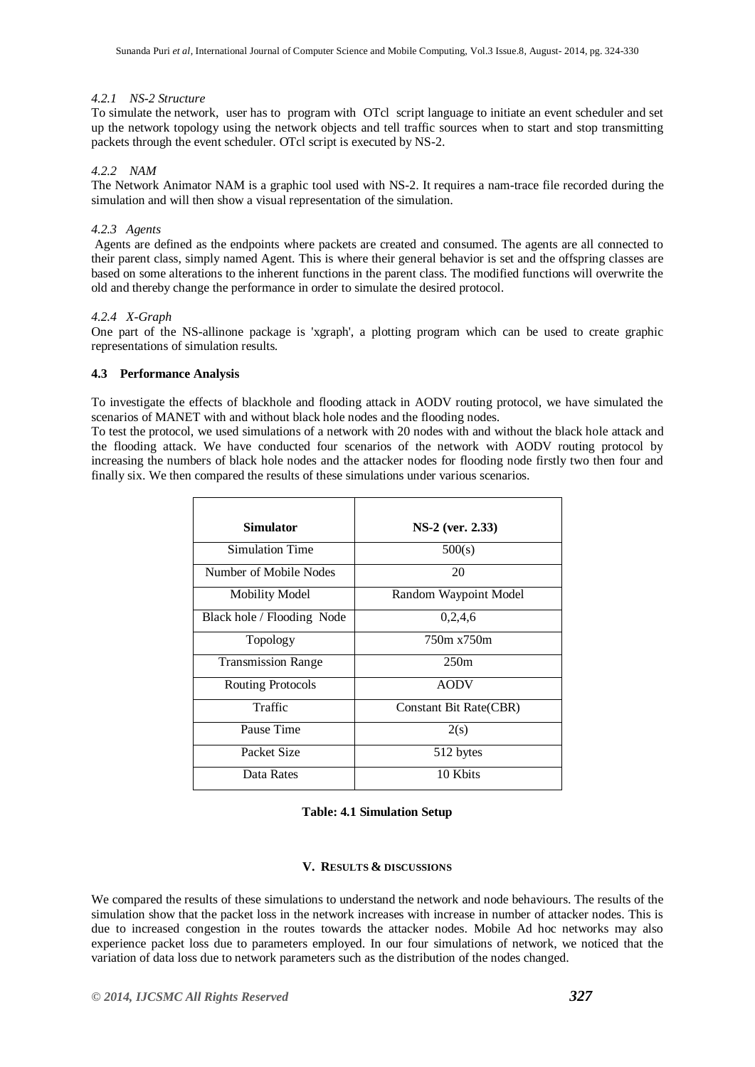# *4.2.1 NS-2 Structure*

To simulate the network, user has to program with OTcl script language to initiate an event scheduler and set up the network topology using the network objects and tell traffic sources when to start and stop transmitting packets through the event scheduler. OTcl script is executed by NS-2.

# *4.2.2 NAM*

The Network Animator NAM is a graphic tool used with NS-2. It requires a nam-trace file recorded during the simulation and will then show a visual representation of the simulation.

#### *4.2.3 Agents*

Agents are defined as the endpoints where packets are created and consumed. The agents are all connected to their parent class, simply named Agent. This is where their general behavior is set and the offspring classes are based on some alterations to the inherent functions in the parent class. The modified functions will overwrite the old and thereby change the performance in order to simulate the desired protocol.

# *4.2.4 X-Graph*

One part of the NS-allinone package is 'xgraph', a plotting program which can be used to create graphic representations of simulation results.

# **4.3 Performance Analysis**

To investigate the effects of blackhole and flooding attack in AODV routing protocol, we have simulated the scenarios of MANET with and without black hole nodes and the flooding nodes.

To test the protocol, we used simulations of a network with 20 nodes with and without the black hole attack and the flooding attack. We have conducted four scenarios of the network with AODV routing protocol by increasing the numbers of black hole nodes and the attacker nodes for flooding node firstly two then four and finally six. We then compared the results of these simulations under various scenarios.

| Simulator                  | NS-2 (ver. 2.33)       |
|----------------------------|------------------------|
| Simulation Time            | 500(s)                 |
| Number of Mobile Nodes     | 20                     |
| <b>Mobility Model</b>      | Random Waypoint Model  |
| Black hole / Flooding Node | 0,2,4,6                |
| Topology                   | 750m x750m             |
| <b>Transmission Range</b>  | 250m                   |
| <b>Routing Protocols</b>   | <b>AODV</b>            |
| Traffic                    | Constant Bit Rate(CBR) |
| Pause Time                 | 2(s)                   |
| Packet Size                | 512 bytes              |
| Data Rates                 | 10 Kbits               |

#### **Table: 4.1 Simulation Setup**

### **V. RESULTS & DISCUSSIONS**

We compared the results of these simulations to understand the network and node behaviours. The results of the simulation show that the packet loss in the network increases with increase in number of attacker nodes. This is due to increased congestion in the routes towards the attacker nodes. Mobile Ad hoc networks may also experience packet loss due to parameters employed. In our four simulations of network, we noticed that the variation of data loss due to network parameters such as the distribution of the nodes changed.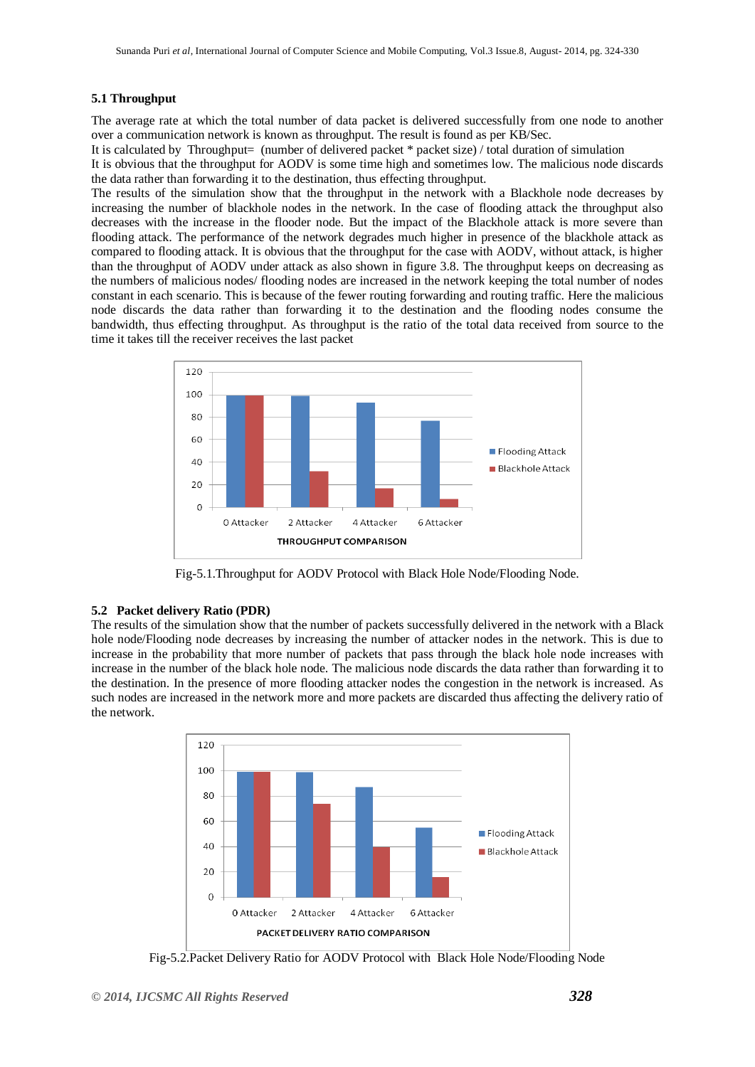# **5.1 Throughput**

The average rate at which the total number of data packet is delivered successfully from one node to another over a communication network is known as throughput. The result is found as per KB/Sec.

It is calculated by Throughput= (number of delivered packet \* packet size) / total duration of simulation

It is obvious that the throughput for AODV is some time high and sometimes low. The malicious node discards the data rather than forwarding it to the destination, thus effecting throughput.

The results of the simulation show that the throughput in the network with a Blackhole node decreases by increasing the number of blackhole nodes in the network. In the case of flooding attack the throughput also decreases with the increase in the flooder node. But the impact of the Blackhole attack is more severe than flooding attack. The performance of the network degrades much higher in presence of the blackhole attack as compared to flooding attack. It is obvious that the throughput for the case with AODV, without attack, is higher than the throughput of AODV under attack as also shown in figure 3.8. The throughput keeps on decreasing as the numbers of malicious nodes/ flooding nodes are increased in the network keeping the total number of nodes constant in each scenario. This is because of the fewer routing forwarding and routing traffic. Here the malicious node discards the data rather than forwarding it to the destination and the flooding nodes consume the bandwidth, thus effecting throughput. As throughput is the ratio of the total data received from source to the time it takes till the receiver receives the last packet



Fig-5.1.Throughput for AODV Protocol with Black Hole Node/Flooding Node.

# **5.2 Packet delivery Ratio (PDR)**

The results of the simulation show that the number of packets successfully delivered in the network with a Black hole node/Flooding node decreases by increasing the number of attacker nodes in the network. This is due to increase in the probability that more number of packets that pass through the black hole node increases with increase in the number of the black hole node. The malicious node discards the data rather than forwarding it to the destination. In the presence of more flooding attacker nodes the congestion in the network is increased. As such nodes are increased in the network more and more packets are discarded thus affecting the delivery ratio of the network.



Fig-5.2.Packet Delivery Ratio for AODV Protocol with Black Hole Node/Flooding Node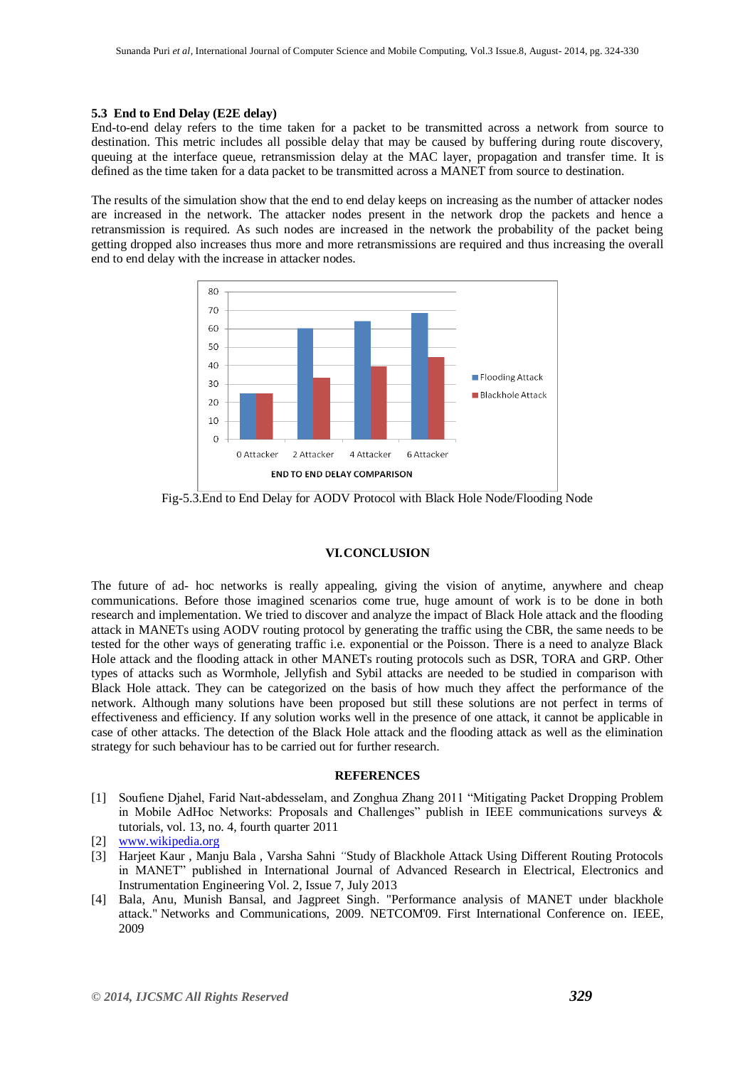#### **5.3 End to End Delay (E2E delay)**

End-to-end delay refers to the time taken for a packet to be transmitted across a network from source to destination. This metric includes all possible delay that may be caused by buffering during route discovery, queuing at the interface queue, retransmission delay at the MAC layer, propagation and transfer time. It is defined as the time taken for a data packet to be transmitted across a MANET from source to destination.

The results of the simulation show that the end to end delay keeps on increasing as the number of attacker nodes are increased in the network. The attacker nodes present in the network drop the packets and hence a retransmission is required. As such nodes are increased in the network the probability of the packet being getting dropped also increases thus more and more retransmissions are required and thus increasing the overall end to end delay with the increase in attacker nodes.



Fig-5.3.End to End Delay for AODV Protocol with Black Hole Node/Flooding Node

#### **VI.CONCLUSION**

The future of ad- hoc networks is really appealing, giving the vision of anytime, anywhere and cheap communications. Before those imagined scenarios come true, huge amount of work is to be done in both research and implementation. We tried to discover and analyze the impact of Black Hole attack and the flooding attack in MANETs using AODV routing protocol by generating the traffic using the CBR, the same needs to be tested for the other ways of generating traffic i.e. exponential or the Poisson. There is a need to analyze Black Hole attack and the flooding attack in other MANETs routing protocols such as DSR, TORA and GRP. Other types of attacks such as Wormhole, Jellyfish and Sybil attacks are needed to be studied in comparison with Black Hole attack. They can be categorized on the basis of how much they affect the performance of the network. Although many solutions have been proposed but still these solutions are not perfect in terms of effectiveness and efficiency. If any solution works well in the presence of one attack, it cannot be applicable in case of other attacks. The detection of the Black Hole attack and the flooding attack as well as the elimination strategy for such behaviour has to be carried out for further research.

#### **REFERENCES**

[1] Soufiene Djahel, Farid Naıt-abdesselam, and Zonghua Zhang 2011 "Mitigating Packet Dropping Problem in Mobile AdHoc Networks: Proposals and Challenges" publish in IEEE communications surveys & tutorials, vol. 13, no. 4, fourth quarter 2011

- [3] Harjeet Kaur , Manju Bala , Varsha Sahni *"*Study of Blackhole Attack Using Different Routing Protocols in MANET" published in International Journal of Advanced Research in Electrical, Electronics and Instrumentation Engineering Vol. 2, Issue 7, July 2013
- [4] Bala, Anu, Munish Bansal, and Jagpreet Singh. "Performance analysis of MANET under blackhole attack." Networks and Communications, 2009. NETCOM'09. First International Conference on. IEEE, 2009

<sup>[2]</sup> [www.wikipedia.org](http://www.wikipedia.org/)